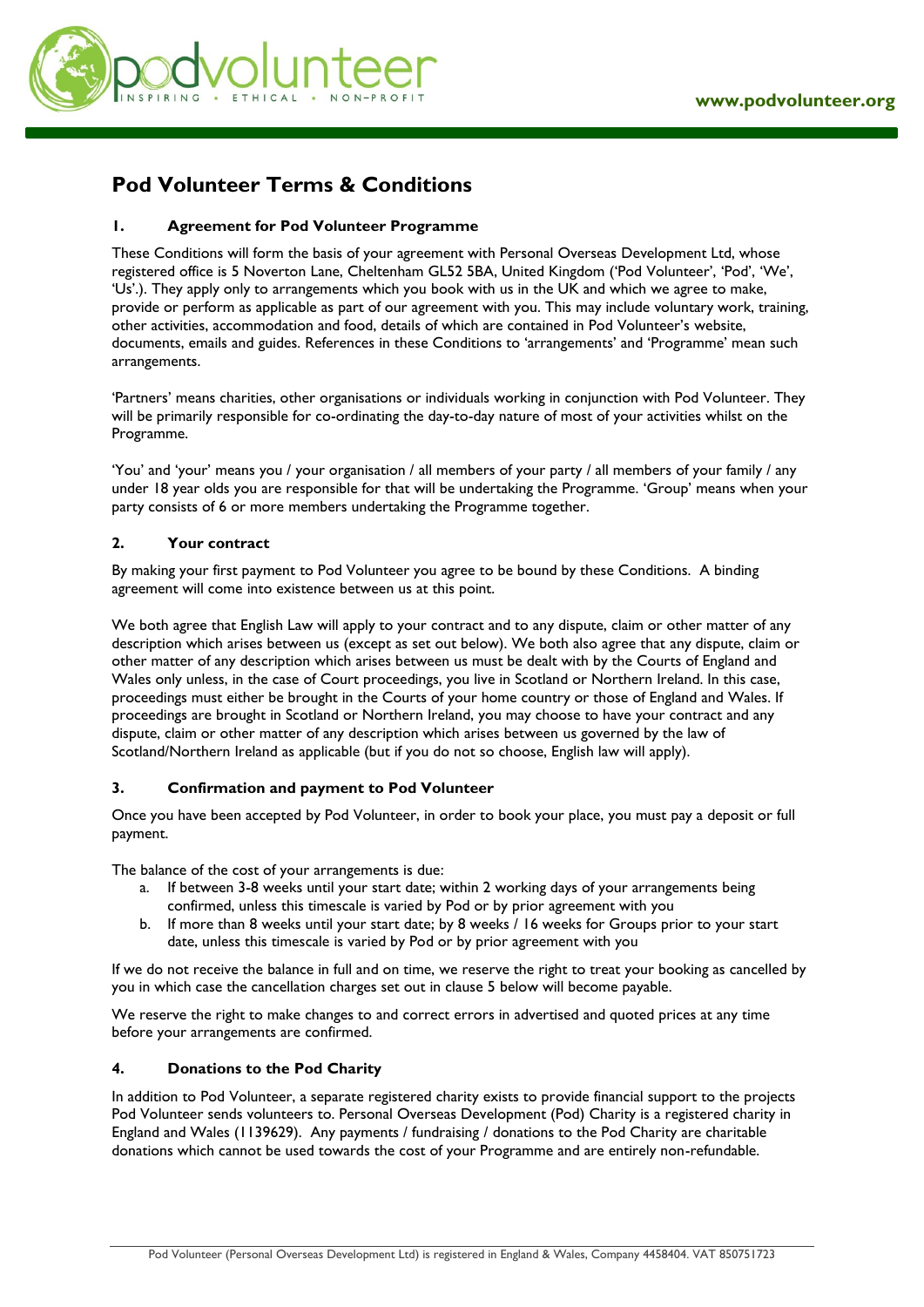

# **Pod Volunteer Terms & Conditions**

## **1. Agreement for Pod Volunteer Programme**

These Conditions will form the basis of your agreement with Personal Overseas Development Ltd, whose registered office is 5 Noverton Lane, Cheltenham GL52 5BA, United Kingdom ('Pod Volunteer', 'Pod', 'We', 'Us'.). They apply only to arrangements which you book with us in the UK and which we agree to make, provide or perform as applicable as part of our agreement with you. This may include voluntary work, training, other activities, accommodation and food, details of which are contained in Pod Volunteer's website, documents, emails and guides. References in these Conditions to 'arrangements' and 'Programme' mean such arrangements.

'Partners' means charities, other organisations or individuals working in conjunction with Pod Volunteer. They will be primarily responsible for co-ordinating the day-to-day nature of most of your activities whilst on the Programme.

'You' and 'your' means you / your organisation / all members of your party / all members of your family / any under 18 year olds you are responsible for that will be undertaking the Programme. 'Group' means when your party consists of 6 or more members undertaking the Programme together.

#### **2. Your contract**

By making your first payment to Pod Volunteer you agree to be bound by these Conditions. A binding agreement will come into existence between us at this point.

We both agree that English Law will apply to your contract and to any dispute, claim or other matter of any description which arises between us (except as set out below). We both also agree that any dispute, claim or other matter of any description which arises between us must be dealt with by the Courts of England and Wales only unless, in the case of Court proceedings, you live in Scotland or Northern Ireland. In this case, proceedings must either be brought in the Courts of your home country or those of England and Wales. If proceedings are brought in Scotland or Northern Ireland, you may choose to have your contract and any dispute, claim or other matter of any description which arises between us governed by the law of Scotland/Northern Ireland as applicable (but if you do not so choose, English law will apply).

#### **3. Confirmation and payment to Pod Volunteer**

Once you have been accepted by Pod Volunteer, in order to book your place, you must pay a deposit or full payment.

The balance of the cost of your arrangements is due:

- a. If between 3-8 weeks until your start date; within 2 working days of your arrangements being confirmed, unless this timescale is varied by Pod or by prior agreement with you
- b. If more than 8 weeks until your start date; by 8 weeks / 16 weeks for Groups prior to your start date, unless this timescale is varied by Pod or by prior agreement with you

If we do not receive the balance in full and on time, we reserve the right to treat your booking as cancelled by you in which case the cancellation charges set out in clause 5 below will become payable.

We reserve the right to make changes to and correct errors in advertised and quoted prices at any time before your arrangements are confirmed.

#### **4. Donations to the Pod Charity**

In addition to Pod Volunteer, a separate registered charity exists to provide financial support to the projects Pod Volunteer sends volunteers to. Personal Overseas Development (Pod) Charity is a registered charity in England and Wales (1139629). Any payments / fundraising / donations to the Pod Charity are charitable donations which cannot be used towards the cost of your Programme and are entirely non-refundable.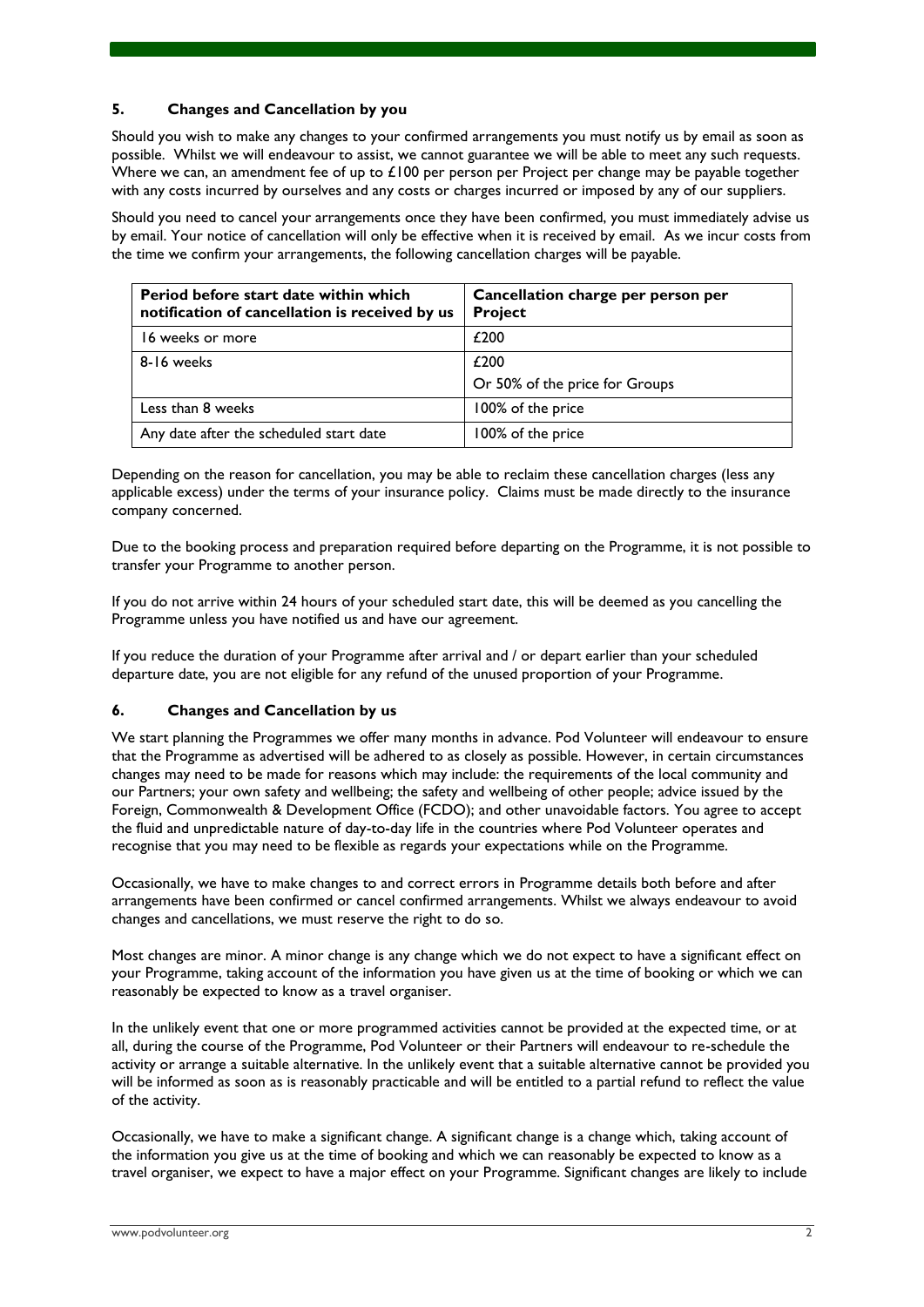## **5. Changes and Cancellation by you**

Should you wish to make any changes to your confirmed arrangements you must notify us by email as soon as possible. Whilst we will endeavour to assist, we cannot guarantee we will be able to meet any such requests. Where we can, an amendment fee of up to  $\pounds100$  per person per Project per change may be payable together with any costs incurred by ourselves and any costs or charges incurred or imposed by any of our suppliers.

Should you need to cancel your arrangements once they have been confirmed, you must immediately advise us by email. Your notice of cancellation will only be effective when it is received by email. As we incur costs from the time we confirm your arrangements, the following cancellation charges will be payable.

| Period before start date within which<br>notification of cancellation is received by us | Cancellation charge per person per<br><b>Project</b> |
|-----------------------------------------------------------------------------------------|------------------------------------------------------|
| 16 weeks or more                                                                        | £200                                                 |
| 8-16 weeks                                                                              | £200                                                 |
|                                                                                         | Or 50% of the price for Groups                       |
| Less than 8 weeks                                                                       | 100% of the price                                    |
| Any date after the scheduled start date                                                 | 100% of the price                                    |

Depending on the reason for cancellation, you may be able to reclaim these cancellation charges (less any applicable excess) under the terms of your insurance policy. Claims must be made directly to the insurance company concerned.

Due to the booking process and preparation required before departing on the Programme, it is not possible to transfer your Programme to another person.

If you do not arrive within 24 hours of your scheduled start date, this will be deemed as you cancelling the Programme unless you have notified us and have our agreement.

If you reduce the duration of your Programme after arrival and / or depart earlier than your scheduled departure date, you are not eligible for any refund of the unused proportion of your Programme.

#### **6. Changes and Cancellation by us**

We start planning the Programmes we offer many months in advance. Pod Volunteer will endeavour to ensure that the Programme as advertised will be adhered to as closely as possible. However, in certain circumstances changes may need to be made for reasons which may include: the requirements of the local community and our Partners; your own safety and wellbeing; the safety and wellbeing of other people; advice issued by the Foreign, Commonwealth & Development Office (FCDO); and other unavoidable factors. You agree to accept the fluid and unpredictable nature of day-to-day life in the countries where Pod Volunteer operates and recognise that you may need to be flexible as regards your expectations while on the Programme.

Occasionally, we have to make changes to and correct errors in Programme details both before and after arrangements have been confirmed or cancel confirmed arrangements. Whilst we always endeavour to avoid changes and cancellations, we must reserve the right to do so.

Most changes are minor. A minor change is any change which we do not expect to have a significant effect on your Programme, taking account of the information you have given us at the time of booking or which we can reasonably be expected to know as a travel organiser.

In the unlikely event that one or more programmed activities cannot be provided at the expected time, or at all, during the course of the Programme, Pod Volunteer or their Partners will endeavour to re-schedule the activity or arrange a suitable alternative. In the unlikely event that a suitable alternative cannot be provided you will be informed as soon as is reasonably practicable and will be entitled to a partial refund to reflect the value of the activity.

Occasionally, we have to make a significant change. A significant change is a change which, taking account of the information you give us at the time of booking and which we can reasonably be expected to know as a travel organiser, we expect to have a major effect on your Programme. Significant changes are likely to include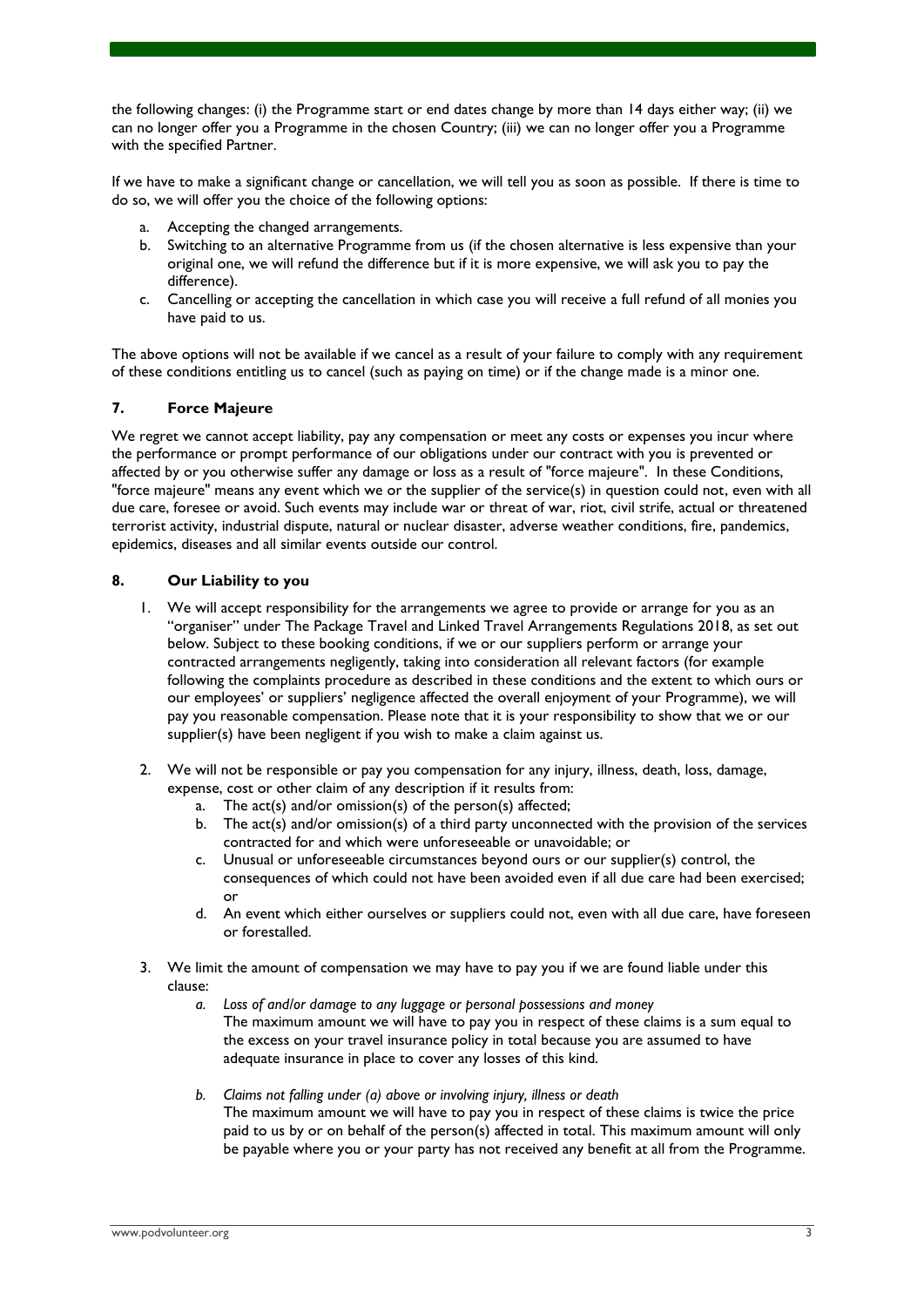the following changes: (i) the Programme start or end dates change by more than 14 days either way; (ii) we can no longer offer you a Programme in the chosen Country; (iii) we can no longer offer you a Programme with the specified Partner.

If we have to make a significant change or cancellation, we will tell you as soon as possible. If there is time to do so, we will offer you the choice of the following options:

- a. Accepting the changed arrangements.
- b. Switching to an alternative Programme from us (if the chosen alternative is less expensive than your original one, we will refund the difference but if it is more expensive, we will ask you to pay the difference).
- c. Cancelling or accepting the cancellation in which case you will receive a full refund of all monies you have paid to us.

The above options will not be available if we cancel as a result of your failure to comply with any requirement of these conditions entitling us to cancel (such as paying on time) or if the change made is a minor one.

## **7. Force Majeure**

We regret we cannot accept liability, pay any compensation or meet any costs or expenses you incur where the performance or prompt performance of our obligations under our contract with you is prevented or affected by or you otherwise suffer any damage or loss as a result of "force majeure". In these Conditions, "force majeure" means any event which we or the supplier of the service(s) in question could not, even with all due care, foresee or avoid. Such events may include war or threat of war, riot, civil strife, actual or threatened terrorist activity, industrial dispute, natural or nuclear disaster, adverse weather conditions, fire, pandemics, epidemics, diseases and all similar events outside our control.

## **8. Our Liability to you**

- 1. We will accept responsibility for the arrangements we agree to provide or arrange for you as an "organiser" under The Package Travel and Linked Travel Arrangements Regulations 2018, as set out below. Subject to these booking conditions, if we or our suppliers perform or arrange your contracted arrangements negligently, taking into consideration all relevant factors (for example following the complaints procedure as described in these conditions and the extent to which ours or our employees' or suppliers' negligence affected the overall enjoyment of your Programme), we will pay you reasonable compensation. Please note that it is your responsibility to show that we or our supplier(s) have been negligent if you wish to make a claim against us.
- 2. We will not be responsible or pay you compensation for any injury, illness, death, loss, damage, expense, cost or other claim of any description if it results from:
	- a. The act(s) and/or omission(s) of the person(s) affected;
	- b. The act(s) and/or omission(s) of a third party unconnected with the provision of the services contracted for and which were unforeseeable or unavoidable; or
	- c. Unusual or unforeseeable circumstances beyond ours or our supplier(s) control, the consequences of which could not have been avoided even if all due care had been exercised; or
	- d. An event which either ourselves or suppliers could not, even with all due care, have foreseen or forestalled.
- 3. We limit the amount of compensation we may have to pay you if we are found liable under this clause:
	- *a. Loss of and/or damage to any luggage or personal possessions and money*  The maximum amount we will have to pay you in respect of these claims is a sum equal to the excess on your travel insurance policy in total because you are assumed to have adequate insurance in place to cover any losses of this kind.
	- *b. Claims not falling under (a) above or involving injury, illness or death* The maximum amount we will have to pay you in respect of these claims is twice the price paid to us by or on behalf of the person(s) affected in total. This maximum amount will only be payable where you or your party has not received any benefit at all from the Programme.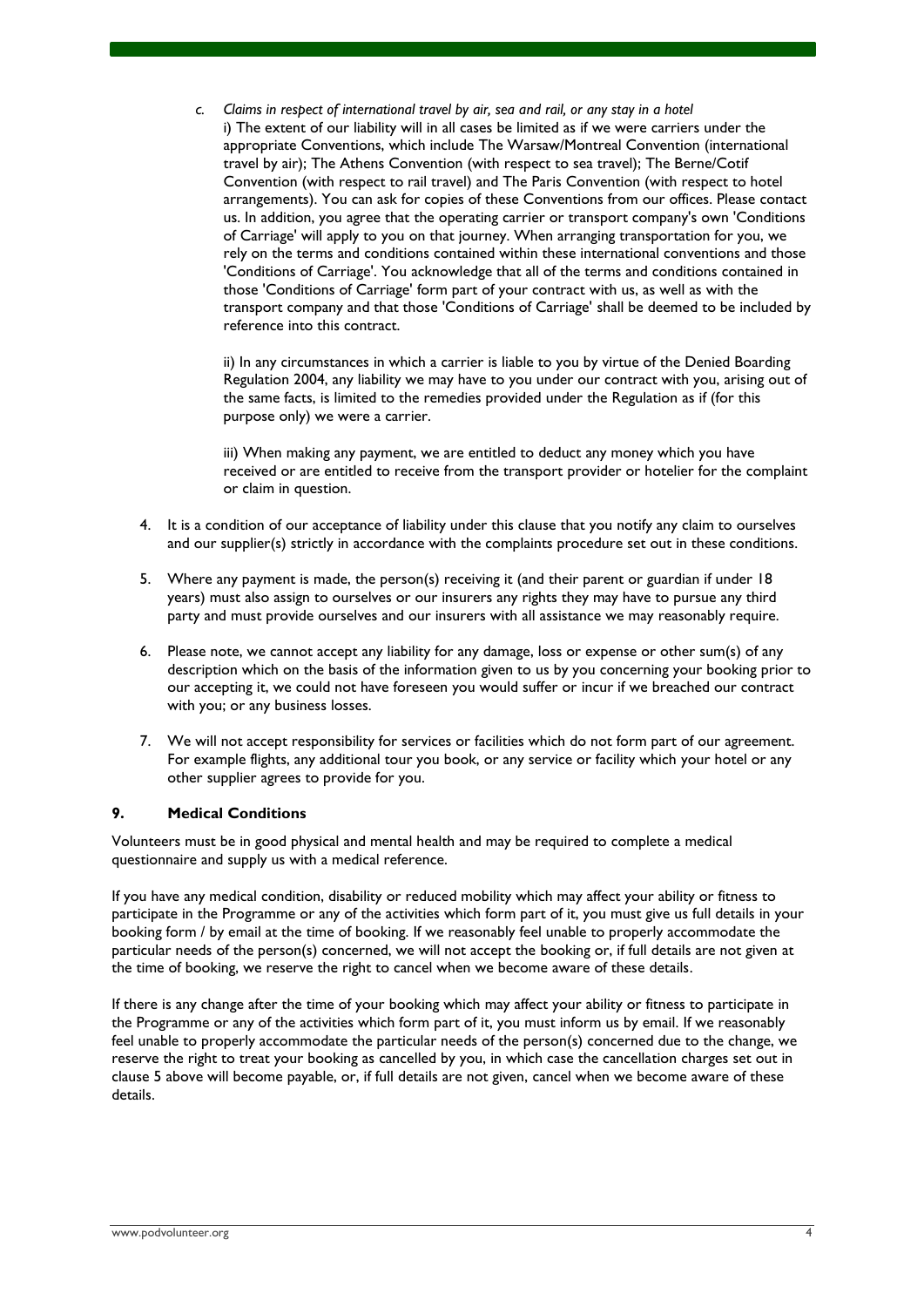*c. Claims in respect of international travel by air, sea and rail, or any stay in a hotel*  i) The extent of our liability will in all cases be limited as if we were carriers under the appropriate Conventions, which include The Warsaw/Montreal Convention (international travel by air); The Athens Convention (with respect to sea travel); The Berne/Cotif Convention (with respect to rail travel) and The Paris Convention (with respect to hotel arrangements). You can ask for copies of these Conventions from our offices. Please contact us. In addition, you agree that the operating carrier or transport company's own 'Conditions of Carriage' will apply to you on that journey. When arranging transportation for you, we rely on the terms and conditions contained within these international conventions and those 'Conditions of Carriage'. You acknowledge that all of the terms and conditions contained in those 'Conditions of Carriage' form part of your contract with us, as well as with the transport company and that those 'Conditions of Carriage' shall be deemed to be included by reference into this contract.

ii) In any circumstances in which a carrier is liable to you by virtue of the Denied Boarding Regulation 2004, any liability we may have to you under our contract with you, arising out of the same facts, is limited to the remedies provided under the Regulation as if (for this purpose only) we were a carrier.

iii) When making any payment, we are entitled to deduct any money which you have received or are entitled to receive from the transport provider or hotelier for the complaint or claim in question.

- 4. It is a condition of our acceptance of liability under this clause that you notify any claim to ourselves and our supplier(s) strictly in accordance with the complaints procedure set out in these conditions.
- 5. Where any payment is made, the person(s) receiving it (and their parent or guardian if under 18 years) must also assign to ourselves or our insurers any rights they may have to pursue any third party and must provide ourselves and our insurers with all assistance we may reasonably require.
- 6. Please note, we cannot accept any liability for any damage, loss or expense or other sum(s) of any description which on the basis of the information given to us by you concerning your booking prior to our accepting it, we could not have foreseen you would suffer or incur if we breached our contract with you; or any business losses.
- 7. We will not accept responsibility for services or facilities which do not form part of our agreement. For example flights, any additional tour you book, or any service or facility which your hotel or any other supplier agrees to provide for you.

## **9. Medical Conditions**

Volunteers must be in good physical and mental health and may be required to complete a medical questionnaire and supply us with a medical reference.

If you have any medical condition, disability or reduced mobility which may affect your ability or fitness to participate in the Programme or any of the activities which form part of it, you must give us full details in your booking form / by email at the time of booking. If we reasonably feel unable to properly accommodate the particular needs of the person(s) concerned, we will not accept the booking or, if full details are not given at the time of booking, we reserve the right to cancel when we become aware of these details.

If there is any change after the time of your booking which may affect your ability or fitness to participate in the Programme or any of the activities which form part of it, you must inform us by email. If we reasonably feel unable to properly accommodate the particular needs of the person(s) concerned due to the change, we reserve the right to treat your booking as cancelled by you, in which case the cancellation charges set out in clause 5 above will become payable, or, if full details are not given, cancel when we become aware of these details.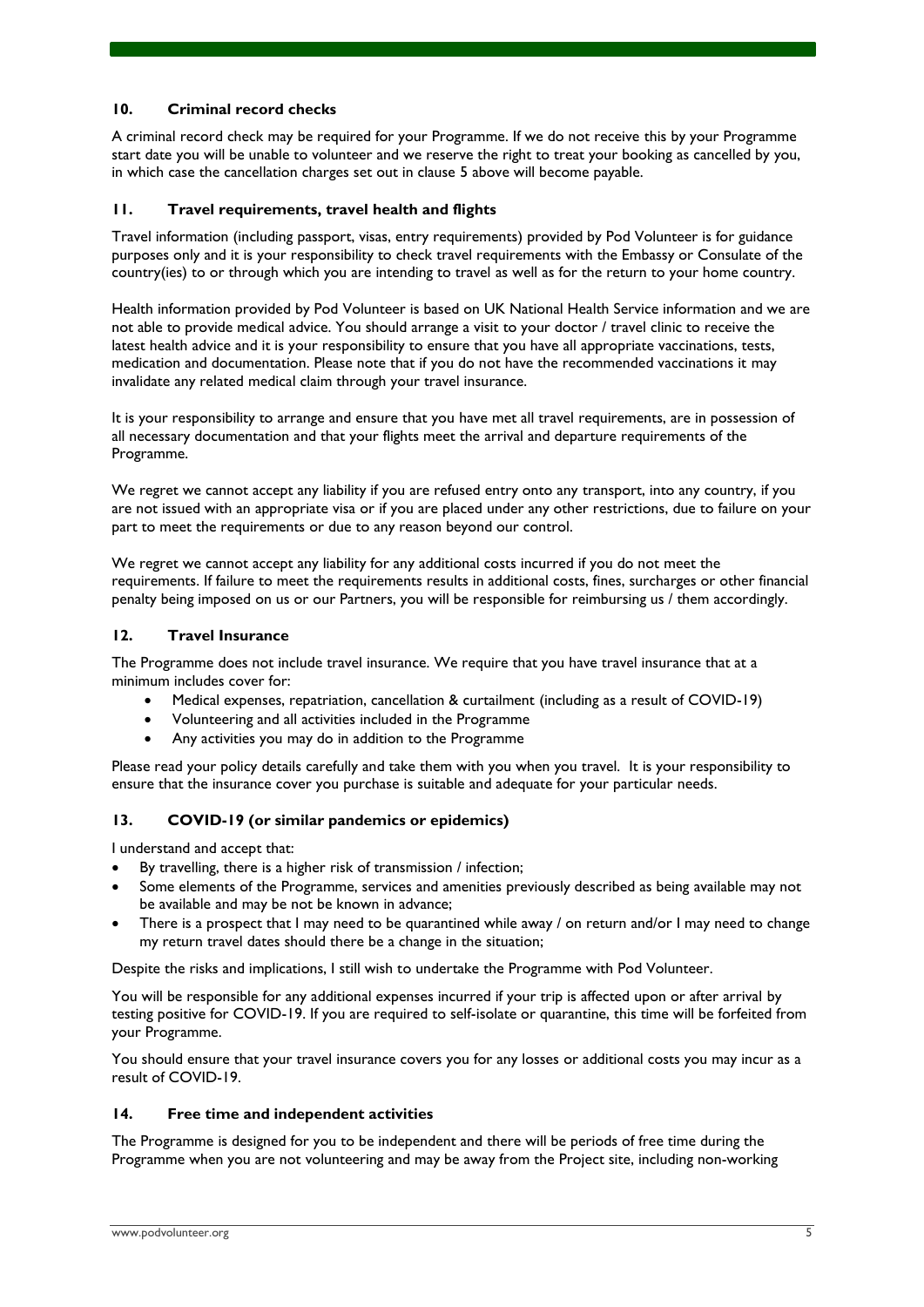## **10. Criminal record checks**

A criminal record check may be required for your Programme. If we do not receive this by your Programme start date you will be unable to volunteer and we reserve the right to treat your booking as cancelled by you, in which case the cancellation charges set out in clause 5 above will become payable.

## **11. Travel requirements, travel health and flights**

Travel information (including passport, visas, entry requirements) provided by Pod Volunteer is for guidance purposes only and it is your responsibility to check travel requirements with the Embassy or Consulate of the country(ies) to or through which you are intending to travel as well as for the return to your home country.

Health information provided by Pod Volunteer is based on UK National Health Service information and we are not able to provide medical advice. You should arrange a visit to your doctor / travel clinic to receive the latest health advice and it is your responsibility to ensure that you have all appropriate vaccinations, tests, medication and documentation. Please note that if you do not have the recommended vaccinations it may invalidate any related medical claim through your travel insurance.

It is your responsibility to arrange and ensure that you have met all travel requirements, are in possession of all necessary documentation and that your flights meet the arrival and departure requirements of the Programme.

We regret we cannot accept any liability if you are refused entry onto any transport, into any country, if you are not issued with an appropriate visa or if you are placed under any other restrictions, due to failure on your part to meet the requirements or due to any reason beyond our control.

We regret we cannot accept any liability for any additional costs incurred if you do not meet the requirements. If failure to meet the requirements results in additional costs, fines, surcharges or other financial penalty being imposed on us or our Partners, you will be responsible for reimbursing us / them accordingly.

## **12. Travel Insurance**

The Programme does not include travel insurance. We require that you have travel insurance that at a minimum includes cover for:

- Medical expenses, repatriation, cancellation & curtailment (including as a result of COVID-19)
- Volunteering and all activities included in the Programme
- Any activities you may do in addition to the Programme

Please read your policy details carefully and take them with you when you travel. It is your responsibility to ensure that the insurance cover you purchase is suitable and adequate for your particular needs.

## **13. COVID-19 (or similar pandemics or epidemics)**

I understand and accept that:

- By travelling, there is a higher risk of transmission / infection;
- Some elements of the Programme, services and amenities previously described as being available may not be available and may be not be known in advance;
- There is a prospect that I may need to be quarantined while away / on return and/or I may need to change my return travel dates should there be a change in the situation;

Despite the risks and implications, I still wish to undertake the Programme with Pod Volunteer.

You will be responsible for any additional expenses incurred if your trip is affected upon or after arrival by testing positive for COVID-19. If you are required to self-isolate or quarantine, this time will be forfeited from your Programme.

You should ensure that your travel insurance covers you for any losses or additional costs you may incur as a result of COVID-19.

#### **14. Free time and independent activities**

The Programme is designed for you to be independent and there will be periods of free time during the Programme when you are not volunteering and may be away from the Project site, including non-working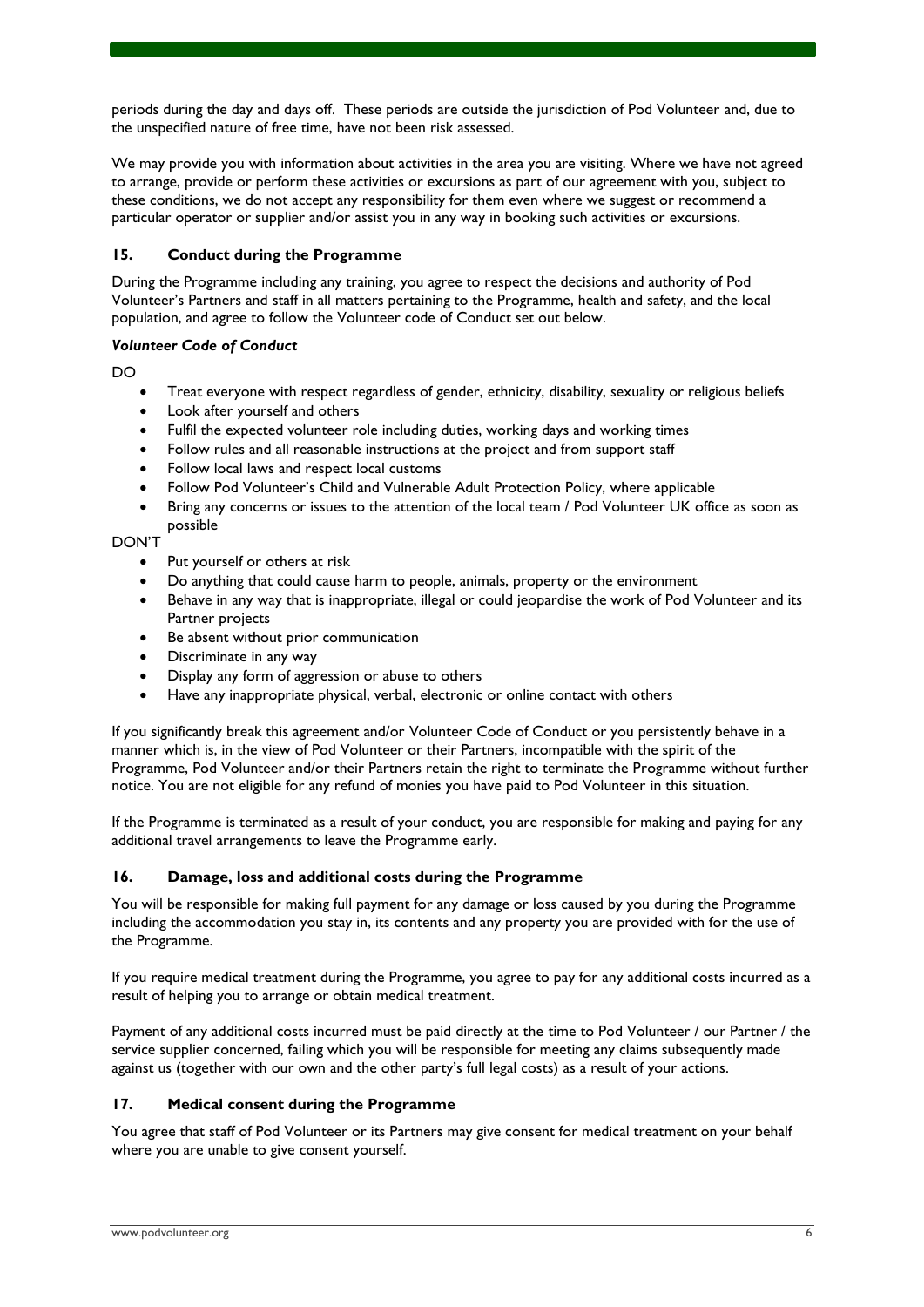periods during the day and days off. These periods are outside the jurisdiction of Pod Volunteer and, due to the unspecified nature of free time, have not been risk assessed.

We may provide you with information about activities in the area you are visiting. Where we have not agreed to arrange, provide or perform these activities or excursions as part of our agreement with you, subject to these conditions, we do not accept any responsibility for them even where we suggest or recommend a particular operator or supplier and/or assist you in any way in booking such activities or excursions.

## **15. Conduct during the Programme**

During the Programme including any training, you agree to respect the decisions and authority of Pod Volunteer's Partners and staff in all matters pertaining to the Programme, health and safety, and the local population, and agree to follow the Volunteer code of Conduct set out below.

## *Volunteer Code of Conduct*

DO

- Treat everyone with respect regardless of gender, ethnicity, disability, sexuality or religious beliefs
- Look after yourself and others
- Fulfil the expected volunteer role including duties, working days and working times
- Follow rules and all reasonable instructions at the project and from support staff
- Follow local laws and respect local customs
- Follow Pod Volunteer's Child and Vulnerable Adult Protection Policy, where applicable
- Bring any concerns or issues to the attention of the local team / Pod Volunteer UK office as soon as possible

#### DON'T

- Put yourself or others at risk
- Do anything that could cause harm to people, animals, property or the environment
- Behave in any way that is inappropriate, illegal or could jeopardise the work of Pod Volunteer and its Partner projects
- Be absent without prior communication
- Discriminate in any way
- Display any form of aggression or abuse to others
- Have any inappropriate physical, verbal, electronic or online contact with others

If you significantly break this agreement and/or Volunteer Code of Conduct or you persistently behave in a manner which is, in the view of Pod Volunteer or their Partners, incompatible with the spirit of the Programme, Pod Volunteer and/or their Partners retain the right to terminate the Programme without further notice. You are not eligible for any refund of monies you have paid to Pod Volunteer in this situation.

If the Programme is terminated as a result of your conduct, you are responsible for making and paying for any additional travel arrangements to leave the Programme early.

## **16. Damage, loss and additional costs during the Programme**

You will be responsible for making full payment for any damage or loss caused by you during the Programme including the accommodation you stay in, its contents and any property you are provided with for the use of the Programme.

If you require medical treatment during the Programme, you agree to pay for any additional costs incurred as a result of helping you to arrange or obtain medical treatment.

Payment of any additional costs incurred must be paid directly at the time to Pod Volunteer / our Partner / the service supplier concerned, failing which you will be responsible for meeting any claims subsequently made against us (together with our own and the other party's full legal costs) as a result of your actions.

#### **17. Medical consent during the Programme**

You agree that staff of Pod Volunteer or its Partners may give consent for medical treatment on your behalf where you are unable to give consent yourself.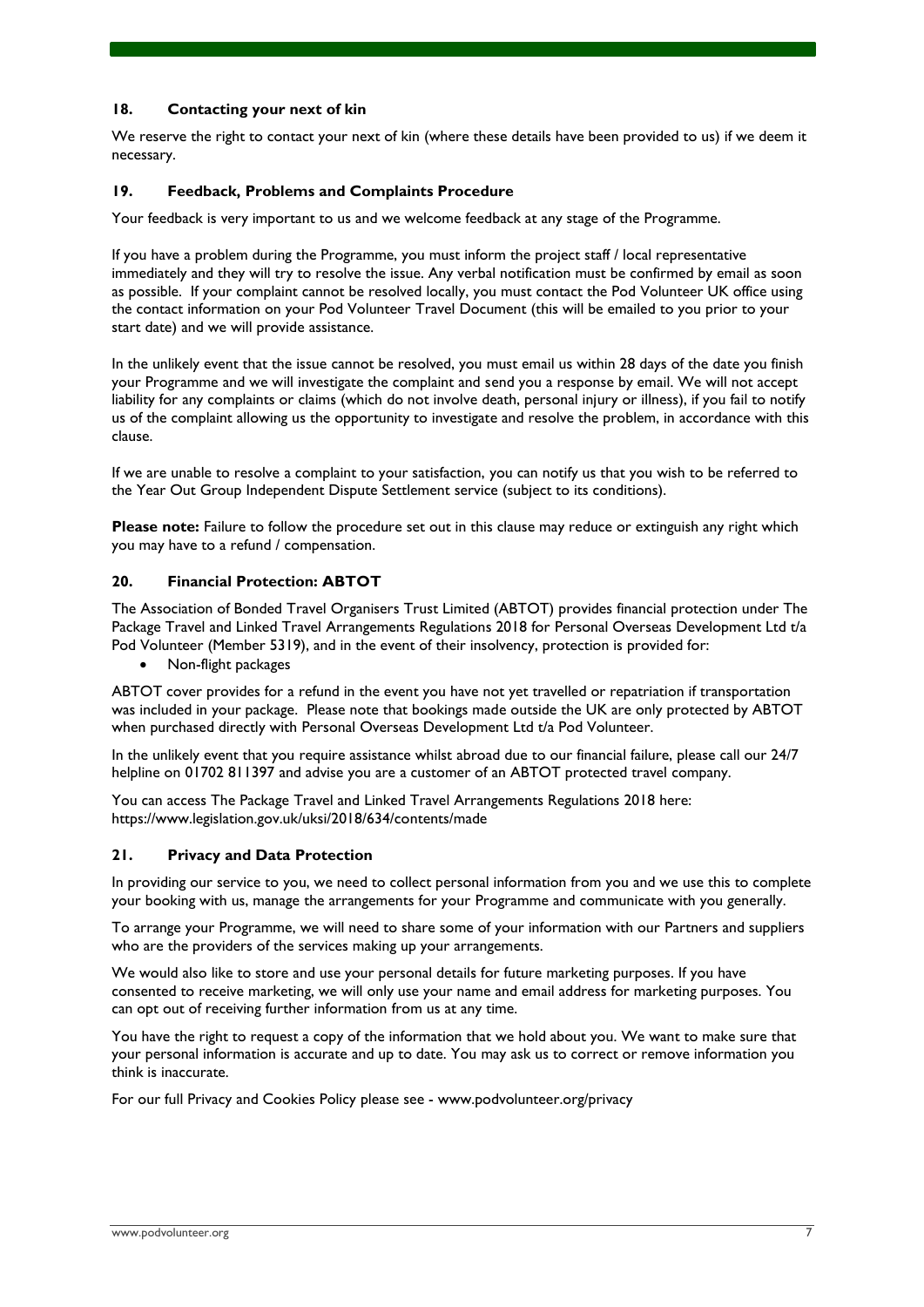## **18. Contacting your next of kin**

We reserve the right to contact your next of kin (where these details have been provided to us) if we deem it necessary.

## **19. Feedback, Problems and Complaints Procedure**

Your feedback is very important to us and we welcome feedback at any stage of the Programme.

If you have a problem during the Programme, you must inform the project staff / local representative immediately and they will try to resolve the issue. Any verbal notification must be confirmed by email as soon as possible. If your complaint cannot be resolved locally, you must contact the Pod Volunteer UK office using the contact information on your Pod Volunteer Travel Document (this will be emailed to you prior to your start date) and we will provide assistance.

In the unlikely event that the issue cannot be resolved, you must email us within 28 days of the date you finish your Programme and we will investigate the complaint and send you a response by email. We will not accept liability for any complaints or claims (which do not involve death, personal injury or illness), if you fail to notify us of the complaint allowing us the opportunity to investigate and resolve the problem, in accordance with this clause.

If we are unable to resolve a complaint to your satisfaction, you can notify us that you wish to be referred to the Year Out Group Independent Dispute Settlement service (subject to its conditions).

**Please note:** Failure to follow the procedure set out in this clause may reduce or extinguish any right which you may have to a refund / compensation.

#### **20. Financial Protection: ABTOT**

The Association of Bonded Travel Organisers Trust Limited (ABTOT) provides financial protection under The Package Travel and Linked Travel Arrangements Regulations 2018 for Personal Overseas Development Ltd t/a Pod Volunteer (Member 5319), and in the event of their insolvency, protection is provided for:

Non-flight packages

ABTOT cover provides for a refund in the event you have not yet travelled or repatriation if transportation was included in your package. Please note that bookings made outside the UK are only protected by ABTOT when purchased directly with Personal Overseas Development Ltd t/a Pod Volunteer.

In the unlikely event that you require assistance whilst abroad due to our financial failure, please call our 24/7 helpline on 01702 811397 and advise you are a customer of an ABTOT protected travel company.

You can access The Package Travel and Linked Travel Arrangements Regulations 2018 here: https://www.legislation.gov.uk/uksi/2018/634/contents/made

#### **21. Privacy and Data Protection**

In providing our service to you, we need to collect personal information from you and we use this to complete your booking with us, manage the arrangements for your Programme and communicate with you generally.

To arrange your Programme, we will need to share some of your information with our Partners and suppliers who are the providers of the services making up your arrangements.

We would also like to store and use your personal details for future marketing purposes. If you have consented to receive marketing, we will only use your name and email address for marketing purposes. You can opt out of receiving further information from us at any time.

You have the right to request a copy of the information that we hold about you. We want to make sure that your personal information is accurate and up to date. You may ask us to correct or remove information you think is inaccurate.

For our full Privacy and Cookies Policy please see - www.podvolunteer.org/privacy